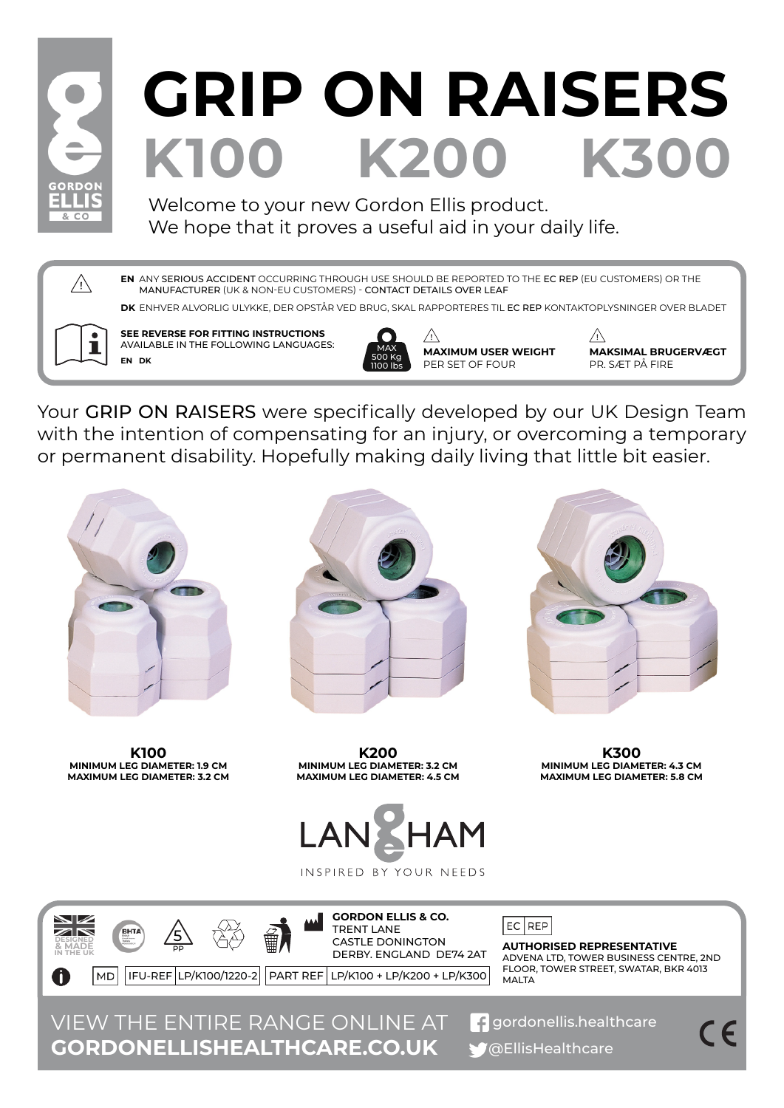

## K100 K200 K30 **GRIP ON RAISERS**

Welcome to your new Gordon Ellis product. We hope that it proves a useful aid in your daily life.

ANY SERIOUS ACCIDENT OCCURRING THROUGH USE SHOULD BE REPORTED TO THE EC REP (EU CUSTOMERS) OR THE **EN** MANUFACTURER (UK & NON-EU CUSTOMERS) - CONTACT DETAILS OVER LEAF

**DK** ENHVER ALVORLIG ULYKKE, DER OPSTÅR VED BRUG, SKAL RAPPORTERES TIL EC REP KONTAKTOPLYSNINGER OVER BLADET



 $\bigwedge$ 

**SEE REVERSE FOR FITTING INSTRUCTIONS** AVAILABLE IN THE FOLLOWING LANGUAGES: **EN DK**

500 Kg 1100 lbs

 $\sqrt{N}$ MAX **MAXIMUM USER WEIGHT** PER SET OF FOUR

 $\bigwedge$ **MAKSIMAL BRUGERVÆGT** PR. SÆT PÅ FIRE

Your GRIP ON RAISERS were specifically developed by our UK Design Team with the intention of compensating for an injury, or overcoming a temporary or permanent disability. Hopefully making daily living that little bit easier.



**K100 MINIMUM LEG DIAMETER: 1.9 CM MAXIMUM LEG DIAMETER: 3.2 CM**





**K200 MINIMUM LEG DIAMETER: 3.2 CM MAXIMUM LEG DIAMETER: 4.5 CM**

**K300 MINIMUM LEG DIAMETER: 4.3 CM MAXIMUM LEG DIAMETER: 5.8 CM**



INSPIRED BY YOUR NEEDS



VIEW THE ENTIRE RANGE ONLINE AT **P** gordonellis.healthcare **GORDONELLISHEALTHCARE.CO.UK** 

@EllisHealthcare